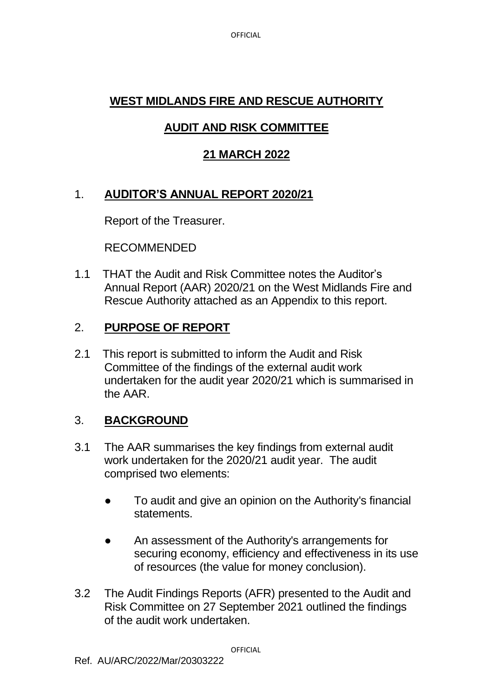**OFFICIAL** 

## **WEST MIDLANDS FIRE AND RESCUE AUTHORITY**

## **AUDIT AND RISK COMMITTEE**

## **21 MARCH 2022**

# 1. **AUDITOR'S ANNUAL REPORT 2020/21**

Report of the Treasurer.

RECOMMENDED

1.1 THAT the Audit and Risk Committee notes the Auditor's Annual Report (AAR) 2020/21 on the West Midlands Fire and Rescue Authority attached as an Appendix to this report.

## 2. **PURPOSE OF REPORT**

2.1 This report is submitted to inform the Audit and Risk Committee of the findings of the external audit work undertaken for the audit year 2020/21 which is summarised in the AAR.

# 3. **BACKGROUND**

- 3.1 The AAR summarises the key findings from external audit work undertaken for the 2020/21 audit year. The audit comprised two elements:
	- To audit and give an opinion on the Authority's financial statements.
	- An assessment of the Authority's arrangements for securing economy, efficiency and effectiveness in its use of resources (the value for money conclusion).
- 3.2 The Audit Findings Reports (AFR) presented to the Audit and Risk Committee on 27 September 2021 outlined the findings of the audit work undertaken.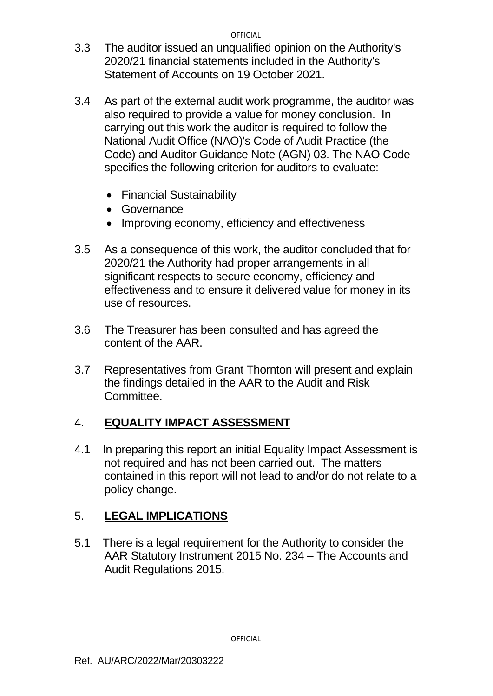**OFFICIAL** 

- 3.3 The auditor issued an unqualified opinion on the Authority's 2020/21 financial statements included in the Authority's Statement of Accounts on 19 October 2021.
- 3.4 As part of the external audit work programme, the auditor was also required to provide a value for money conclusion. In carrying out this work the auditor is required to follow the National Audit Office (NAO)'s Code of Audit Practice (the Code) and Auditor Guidance Note (AGN) 03. The NAO Code specifies the following criterion for auditors to evaluate:
	- Financial Sustainability
	- Governance
	- Improving economy, efficiency and effectiveness
- 3.5 As a consequence of this work, the auditor concluded that for 2020/21 the Authority had proper arrangements in all significant respects to secure economy, efficiency and effectiveness and to ensure it delivered value for money in its use of resources.
- 3.6 The Treasurer has been consulted and has agreed the content of the AAR.
- 3.7 Representatives from Grant Thornton will present and explain the findings detailed in the AAR to the Audit and Risk Committee.

## 4. **EQUALITY IMPACT ASSESSMENT**

4.1 In preparing this report an initial Equality Impact Assessment is not required and has not been carried out. The matters contained in this report will not lead to and/or do not relate to a policy change.

# 5. **LEGAL IMPLICATIONS**

5.1 There is a legal requirement for the Authority to consider the AAR Statutory Instrument 2015 No. 234 – The Accounts and Audit Regulations 2015.